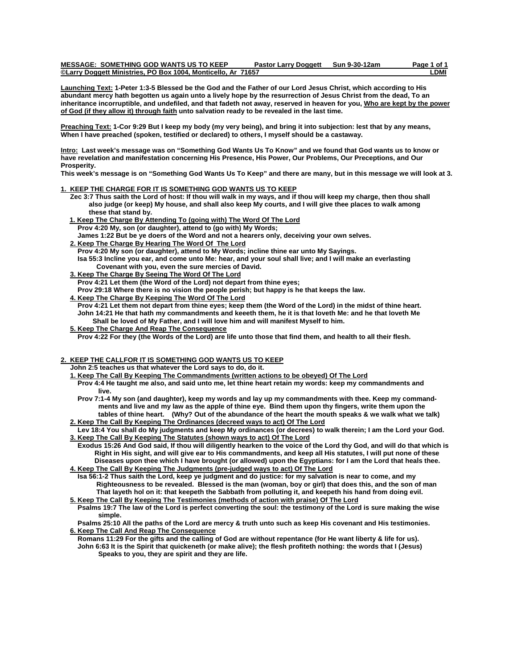| <b>MESSAGE: SOMETHING GOD WANTS US TO KEEP</b>               | Pastor Larry Doggett Sun 9-30-12am | Page 1 of 1 |
|--------------------------------------------------------------|------------------------------------|-------------|
| ©Larry Doggett Ministries, PO Box 1004, Monticello, Ar 71657 |                                    | .DMI        |

**Launching Text: 1-Peter 1:3-5 Blessed be the God and the Father of our Lord Jesus Christ, which according to His abundant mercy hath begotten us again unto a lively hope by the resurrection of Jesus Christ from the dead, To an inheritance incorruptible, and undefiled, and that fadeth not away, reserved in heaven for you, Who are kept by the power of God (if they allow it) through faith unto salvation ready to be revealed in the last time.** 

**Preaching Text: 1-Cor 9:29 But I keep my body (my very being), and bring it into subjection: lest that by any means, When I have preached (spoken, testified or declared) to others, I myself should be a castaway.** 

**Intro: Last week's message was on "Something God Wants Us To Know" and we found that God wants us to know or have revelation and manifestation concerning His Presence, His Power, Our Problems, Our Preceptions, and Our Prosperity.** 

**This week's message is on "Something God Wants Us To Keep" and there are many, but in this message we will look at 3.** 

## **1. KEEP THE CHARGE FOR IT IS SOMETHING GOD WANTS US TO KEEP**

- **Zec 3:7 Thus saith the Lord of host: If thou will walk in my ways, and if thou will keep my charge, then thou shall also judge (or keep) My house, and shall also keep My courts, and I will give thee places to walk among these that stand by.**
- **1. Keep The Charge By Attending To (going with) The Word Of The Lord Prov 4:20 My, son (or daughter), attend to (go with) My Words;**
- **James 1:22 But be ye doers of the Word and not a hearers only, deceiving your own selves. 2. Keep The Charge By Hearing The Word Of The Lord**
- **Prov 4:20 My son (or daughter), attend to My Words; incline thine ear unto My Sayings. Isa 55:3 Incline you ear, and come unto Me: hear, and your soul shall live; and I will make an everlasting Covenant with you, even the sure mercies of David.**
- **3. Keep The Charge By Seeing The Word Of The Lord Prov 4:21 Let them (the Word of the Lord) not depart from thine eyes; Prov 29:18 Where there is no vision the people perish; but happy is he that keeps the law.**
- **4. Keep The Charge By Keeping The Word Of The Lord**

 **Prov 4:21 Let them not depart from thine eyes; keep them (the Word of the Lord) in the midst of thine heart. John 14:21 He that hath my commandments and keeeth them, he it is that loveth Me: and he that loveth Me Shall be loved of My Father, and I will love him and will manifest Myself to him.** 

 **5. Keep The Charge And Reap The Consequence**

 **Prov 4:22 For they (the Words of the Lord) are life unto those that find them, and health to all their flesh.** 

## **2. KEEP THE CALLFOR IT IS SOMETHING GOD WANTS US TO KEEP**

 **John 2:5 teaches us that whatever the Lord says to do, do it.** 

- **1. Keep The Call By Keeping The Commandments (written actions to be obeyed) Of The Lord Prov 4:4 He taught me also, and said unto me, let thine heart retain my words: keep my commandments and live.**
- **Prov 7:1-4 My son (and daughter), keep my words and lay up my commandments with thee. Keep my command ments and live and my law as the apple of thine eye. Bind them upon thy fingers, write them upon the tables of thine heart. (Why? Out of the abundance of the heart the mouth speaks & we walk what we talk) 2. Keep The Call By Keeping The Ordinances (decreed ways to act) Of The Lord**
- **Lev 18:4 You shall do My judgments and keep My ordinances (or decrees) to walk therein; I am the Lord your God. 3. Keep The Call By Keeping The Statutes (shown ways to act) Of The Lord**
- **Exodus 15:26 And God said, If thou will diligently hearken to the voice of the Lord thy God, and will do that which is Right in His sight, and will give ear to His commandments, and keep all His statutes, I will put none of these Diseases upon thee which I have brought (or allowed) upon the Egyptians: for I am the Lord that heals thee.**
- **4. Keep The Call By Keeping The Judgments (pre-judged ways to act) Of The Lord**

 **Isa 56:1-2 Thus saith the Lord, keep ye judgment and do justice: for my salvation is near to come, and my Righteousness to be revealed. Blessed is the man (woman, boy or girl) that does this, and the son of man That layeth hol on it: that keepeth the Sabbath from polluting it, and keepeth his hand from doing evil.** 

- **5. Keep The Call By Keeping The Testimonies (methods of action with praise) Of The Lord**
- **Psalms 19:7 The law of the Lord is perfect converting the soul: the testimony of the Lord is sure making the wise simple.**

 **Psalms 25:10 All the paths of the Lord are mercy & truth unto such as keep His covenant and His testimonies. 6. Keep The Call And Reap The Consequence**

 **Romans 11:29 For the gifts and the calling of God are without repentance (for He want liberty & life for us). John 6:63 It is the Spirit that quickeneth (or make alive); the flesh profiteth nothing: the words that I (Jesus) Speaks to you, they are spirit and they are life.**